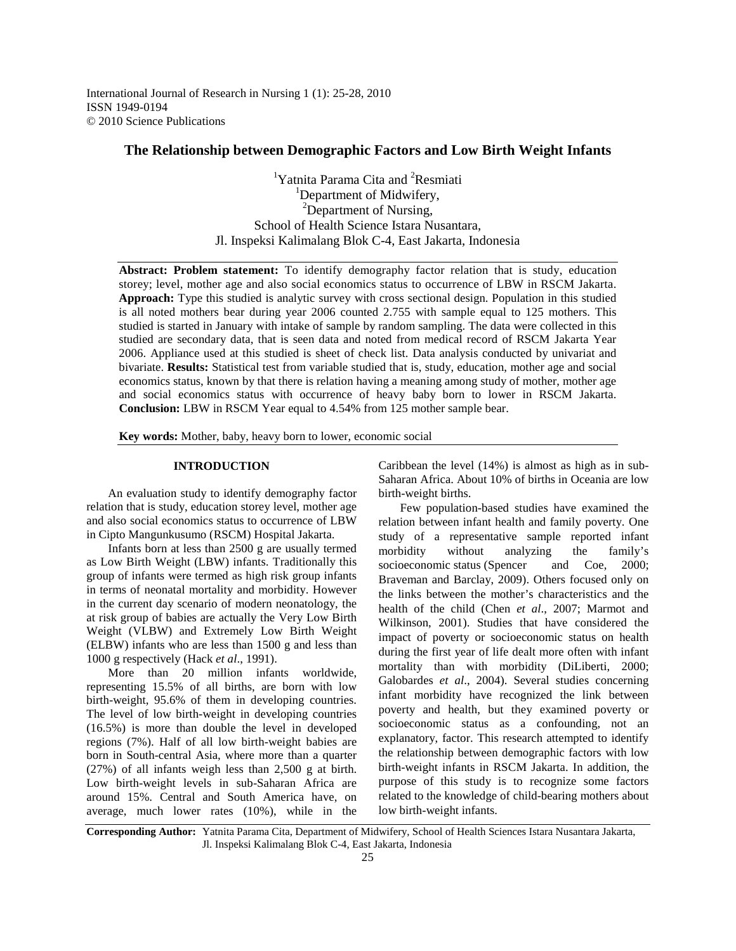International Journal of Research in Nursing 1 (1): 25-28, 2010 ISSN 1949-0194 © 2010 Science Publications

# **The Relationship between Demographic Factors and Low Birth Weight Infants**

<sup>1</sup>Yatnita Parama Cita and <sup>2</sup>Resmiati <sup>1</sup>Department of Midwifery, <sup>2</sup>Department of Nursing, School of Health Science Istara Nusantara, Jl. Inspeksi Kalimalang Blok C-4, East Jakarta, Indonesia

**Abstract: Problem statement:** To identify demography factor relation that is study, education storey; level, mother age and also social economics status to occurrence of LBW in RSCM Jakarta. **Approach:** Type this studied is analytic survey with cross sectional design. Population in this studied is all noted mothers bear during year 2006 counted 2.755 with sample equal to 125 mothers. This studied is started in January with intake of sample by random sampling. The data were collected in this studied are secondary data, that is seen data and noted from medical record of RSCM Jakarta Year 2006. Appliance used at this studied is sheet of check list. Data analysis conducted by univariat and bivariate. **Results:** Statistical test from variable studied that is, study, education, mother age and social economics status, known by that there is relation having a meaning among study of mother, mother age and social economics status with occurrence of heavy baby born to lower in RSCM Jakarta. **Conclusion:** LBW in RSCM Year equal to 4.54% from 125 mother sample bear.

**Key words:** Mother, baby, heavy born to lower, economic social

## **INTRODUCTION**

 An evaluation study to identify demography factor relation that is study, education storey level, mother age and also social economics status to occurrence of LBW in Cipto Mangunkusumo (RSCM) Hospital Jakarta.

 Infants born at less than 2500 g are usually termed as Low Birth Weight (LBW) infants. Traditionally this group of infants were termed as high risk group infants in terms of neonatal mortality and morbidity. However in the current day scenario of modern neonatology, the at risk group of babies are actually the Very Low Birth Weight (VLBW) and Extremely Low Birth Weight (ELBW) infants who are less than 1500 g and less than 1000 g respectively (Hack *et al*., 1991).

 More than 20 million infants worldwide, representing 15.5% of all births, are born with low birth-weight, 95.6% of them in developing countries. The level of low birth-weight in developing countries (16.5%) is more than double the level in developed regions (7%). Half of all low birth-weight babies are born in South-central Asia, where more than a quarter (27%) of all infants weigh less than 2,500 g at birth. Low birth-weight levels in sub-Saharan Africa are around 15%. Central and South America have, on average, much lower rates (10%), while in the Caribbean the level (14%) is almost as high as in sub-Saharan Africa. About 10% of births in Oceania are low birth-weight births.

 Few population-based studies have examined the relation between infant health and family poverty. One study of a representative sample reported infant morbidity without analyzing the family's socioeconomic status (Spencer and Coe, 2000; Braveman and Barclay, 2009). Others focused only on the links between the mother's characteristics and the health of the child (Chen *et al*., 2007; Marmot and Wilkinson, 2001). Studies that have considered the impact of poverty or socioeconomic status on health during the first year of life dealt more often with infant mortality than with morbidity (DiLiberti, 2000; Galobardes *et al*., 2004). Several studies concerning infant morbidity have recognized the link between poverty and health, but they examined poverty or socioeconomic status as a confounding, not an explanatory, factor. This research attempted to identify the relationship between demographic factors with low birth-weight infants in RSCM Jakarta. In addition, the purpose of this study is to recognize some factors related to the knowledge of child-bearing mothers about low birth-weight infants.

**Corresponding Author:** Yatnita Parama Cita, Department of Midwifery, School of Health Sciences Istara Nusantara Jakarta, Jl. Inspeksi Kalimalang Blok C-4, East Jakarta, Indonesia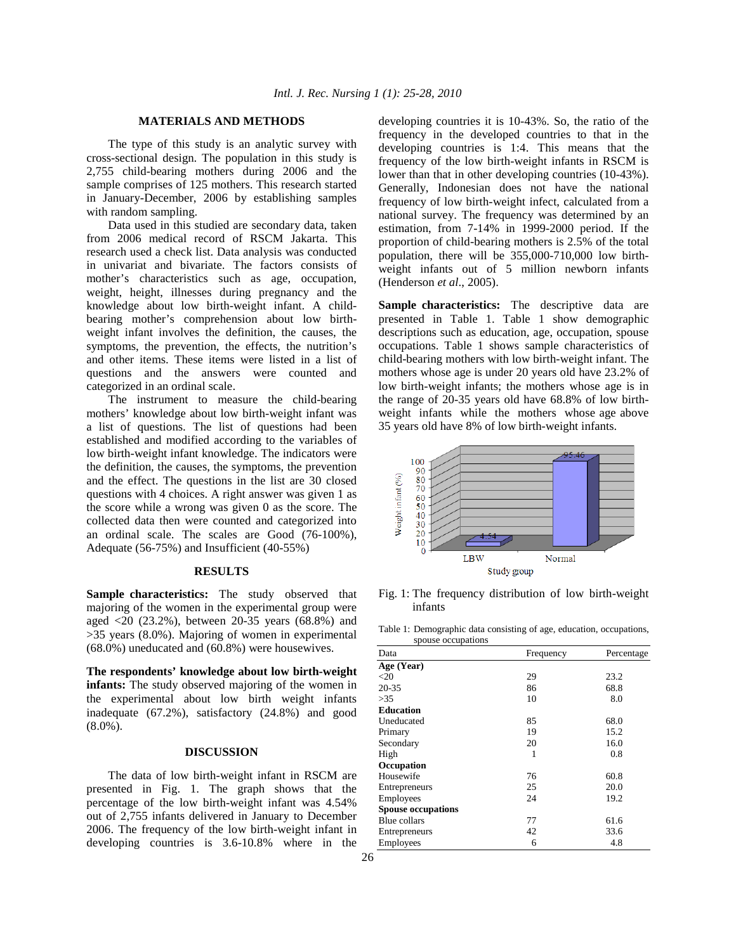### **MATERIALS AND METHODS**

 The type of this study is an analytic survey with cross-sectional design. The population in this study is 2,755 child-bearing mothers during 2006 and the sample comprises of 125 mothers. This research started in January-December, 2006 by establishing samples with random sampling.

 Data used in this studied are secondary data, taken from 2006 medical record of RSCM Jakarta. This research used a check list. Data analysis was conducted in univariat and bivariate. The factors consists of mother's characteristics such as age, occupation, weight, height, illnesses during pregnancy and the knowledge about low birth-weight infant. A childbearing mother's comprehension about low birthweight infant involves the definition, the causes, the symptoms, the prevention, the effects, the nutrition's and other items. These items were listed in a list of questions and the answers were counted and categorized in an ordinal scale.

 The instrument to measure the child-bearing mothers' knowledge about low birth-weight infant was a list of questions. The list of questions had been established and modified according to the variables of low birth-weight infant knowledge. The indicators were the definition, the causes, the symptoms, the prevention and the effect. The questions in the list are 30 closed questions with 4 choices. A right answer was given 1 as the score while a wrong was given 0 as the score. The collected data then were counted and categorized into an ordinal scale. The scales are Good (76-100%), Adequate (56-75%) and Insufficient (40-55%)

### **RESULTS**

Sample characteristics: The study observed that majoring of the women in the experimental group were aged <20 (23.2%), between 20-35 years (68.8%) and >35 years (8.0%). Majoring of women in experimental (68.0%) uneducated and (60.8%) were housewives.

**The respondents' knowledge about low birth-weight infants:** The study observed majoring of the women in the experimental about low birth weight infants inadequate (67.2%), satisfactory (24.8%) and good (8.0%).

## **DISCUSSION**

 The data of low birth-weight infant in RSCM are presented in Fig. 1. The graph shows that the percentage of the low birth-weight infant was 4.54% out of 2,755 infants delivered in January to December 2006. The frequency of the low birth-weight infant in developing countries is 3.6-10.8% where in the

developing countries it is 10-43%. So, the ratio of the frequency in the developed countries to that in the developing countries is 1:4. This means that the frequency of the low birth-weight infants in RSCM is lower than that in other developing countries (10-43%). Generally, Indonesian does not have the national frequency of low birth-weight infect, calculated from a national survey. The frequency was determined by an estimation, from 7-14% in 1999-2000 period. If the proportion of child-bearing mothers is 2.5% of the total population, there will be 355,000-710,000 low birthweight infants out of 5 million newborn infants (Henderson *et al*., 2005).

**Sample characteristics:** The descriptive data are presented in Table 1. Table 1 show demographic descriptions such as education, age, occupation, spouse occupations. Table 1 shows sample characteristics of child-bearing mothers with low birth-weight infant. The mothers whose age is under 20 years old have 23.2% of low birth-weight infants; the mothers whose age is in the range of 20-35 years old have 68.8% of low birthweight infants while the mothers whose age above 35 years old have 8% of low birth-weight infants.



Fig. 1: The frequency distribution of low birth-weight infants

Table 1: Demographic data consisting of age, education, occupations, spouse occupations

| Data                      | Frequency | Percentage |  |
|---------------------------|-----------|------------|--|
| Age (Year)                |           |            |  |
| <20                       | 29        | 23.2       |  |
| 20-35                     | 86        | 68.8       |  |
| >35                       | 10        | 8.0        |  |
| <b>Education</b>          |           |            |  |
| Uneducated                | 85        | 68.0       |  |
| Primary                   | 19        | 15.2       |  |
| Secondary                 | 20        | 16.0       |  |
| High                      | 1         | 0.8        |  |
| Occupation                |           |            |  |
| Housewife                 | 76        | 60.8       |  |
| Entrepreneurs             | 25        | 20.0       |  |
| Employees                 | 24        | 19.2       |  |
| <b>Spouse occupations</b> |           |            |  |
| <b>Blue collars</b>       | 77        | 61.6       |  |
| Entrepreneurs             | 42        | 33.6       |  |
| Employees                 | 6         | 4.8        |  |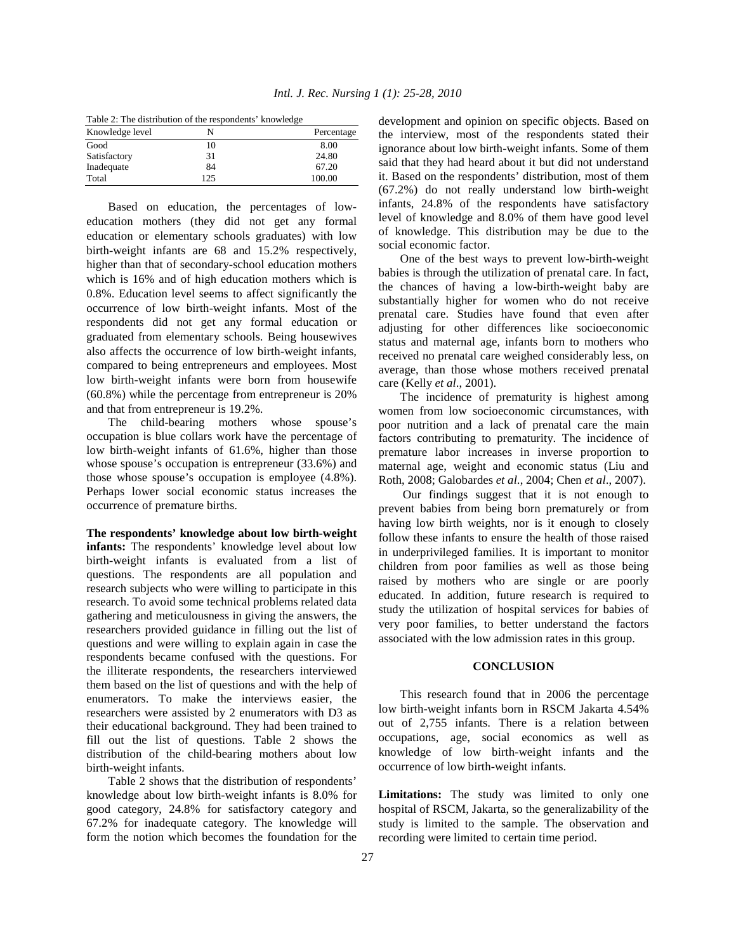| Table 2: The distribution of the respondents' knowledge |  |  |  |  |  |
|---------------------------------------------------------|--|--|--|--|--|
|---------------------------------------------------------|--|--|--|--|--|

| Knowledge level | N   | Percentage |
|-----------------|-----|------------|
| Good            | 10  | 8.00       |
| Satisfactory    | 31  | 24.80      |
| Inadequate      | 84  | 67.20      |
| Total           | 125 | 100.00     |

 Based on education, the percentages of loweducation mothers (they did not get any formal education or elementary schools graduates) with low birth-weight infants are 68 and 15.2% respectively, higher than that of secondary-school education mothers which is 16% and of high education mothers which is 0.8%. Education level seems to affect significantly the occurrence of low birth-weight infants. Most of the respondents did not get any formal education or graduated from elementary schools. Being housewives also affects the occurrence of low birth-weight infants, compared to being entrepreneurs and employees. Most low birth-weight infants were born from housewife (60.8%) while the percentage from entrepreneur is 20% and that from entrepreneur is 19.2%.

 The child-bearing mothers whose spouse's occupation is blue collars work have the percentage of low birth-weight infants of 61.6%, higher than those whose spouse's occupation is entrepreneur (33.6%) and those whose spouse's occupation is employee (4.8%). Perhaps lower social economic status increases the occurrence of premature births.

**The respondents' knowledge about low birth-weight infants:** The respondents' knowledge level about low birth-weight infants is evaluated from a list of questions. The respondents are all population and research subjects who were willing to participate in this research. To avoid some technical problems related data gathering and meticulousness in giving the answers, the researchers provided guidance in filling out the list of questions and were willing to explain again in case the respondents became confused with the questions. For the illiterate respondents, the researchers interviewed them based on the list of questions and with the help of enumerators. To make the interviews easier, the researchers were assisted by 2 enumerators with D3 as their educational background. They had been trained to fill out the list of questions. Table 2 shows the distribution of the child-bearing mothers about low birth-weight infants.

 Table 2 shows that the distribution of respondents' knowledge about low birth-weight infants is 8.0% for good category, 24.8% for satisfactory category and 67.2% for inadequate category. The knowledge will form the notion which becomes the foundation for the

development and opinion on specific objects. Based on the interview, most of the respondents stated their ignorance about low birth-weight infants. Some of them said that they had heard about it but did not understand it. Based on the respondents' distribution, most of them (67.2%) do not really understand low birth-weight infants, 24.8% of the respondents have satisfactory level of knowledge and 8.0% of them have good level of knowledge. This distribution may be due to the social economic factor.

 One of the best ways to prevent low-birth-weight babies is through the utilization of prenatal care. In fact, the chances of having a low-birth-weight baby are substantially higher for women who do not receive prenatal care. Studies have found that even after adjusting for other differences like socioeconomic status and maternal age, infants born to mothers who received no prenatal care weighed considerably less, on average, than those whose mothers received prenatal care (Kelly *et al*., 2001).

 The incidence of prematurity is highest among women from low socioeconomic circumstances, with poor nutrition and a lack of prenatal care the main factors contributing to prematurity. The incidence of premature labor increases in inverse proportion to maternal age, weight and economic status (Liu and Roth, 2008; Galobardes *et al*., 2004; Chen *et al*., 2007).

 Our findings suggest that it is not enough to prevent babies from being born prematurely or from having low birth weights, nor is it enough to closely follow these infants to ensure the health of those raised in underprivileged families. It is important to monitor children from poor families as well as those being raised by mothers who are single or are poorly educated. In addition, future research is required to study the utilization of hospital services for babies of very poor families, to better understand the factors associated with the low admission rates in this group.

# **CONCLUSION**

 This research found that in 2006 the percentage low birth-weight infants born in RSCM Jakarta 4.54% out of 2,755 infants. There is a relation between occupations, age, social economics as well as knowledge of low birth-weight infants and the occurrence of low birth-weight infants.

**Limitations:** The study was limited to only one hospital of RSCM, Jakarta, so the generalizability of the study is limited to the sample. The observation and recording were limited to certain time period.